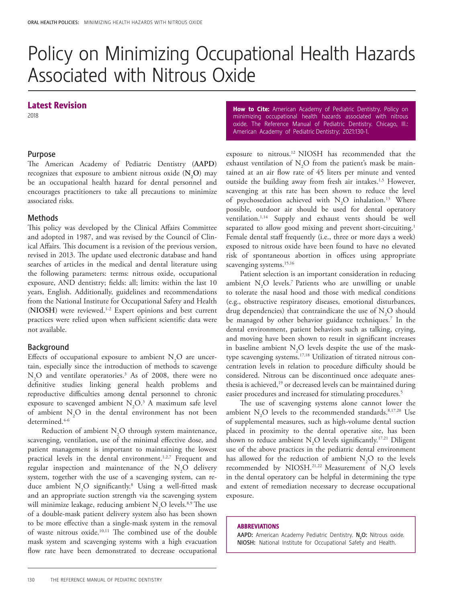# Policy on Minimizing Occupational Health Hazards Associated with Nitrous Oxide

## Latest Revision

2018

### Purpose

The American Academy of Pediatric Dentistry (**AAPD**) recognizes that exposure to ambient nitrous oxide (N<sub>2</sub>O) may be an occupational health hazard for dental personnel and encourages practitioners to take all precautions to minimize associated risks.

#### **Methods**

This policy was developed by the Clinical Affairs Committee and adopted in 1987, and was revised by the Council of Clinical Affairs. This document is a revision of the previous version, revised in 2013. The update used electronic database and hand searches of articles in the medical and dental literature using the following parameters: terms: nitrous oxide, occupational exposure, AND dentistry; fields: all; limits: within the last 10 years, English. Additionally, guidelines and recommendations from the National Institute for Occupational Safety and Health (**NIOSH**) were reviewed.1-2 Expert opinions and best current practices were relied upon when sufficient scientific data were not available.

#### Background

Effects of occupational exposure to ambient  $N_2O$  are uncertain, especially since the introduction of methods to scavenge  $\rm N_2O$  and ventilate operatories.<sup>3</sup> As of 2008, there were no definitive studies linking general health problems and reproductive difficulties among dental personnel to chronic exposure to scavenged ambient  $N_2O^3$ . A maximum safe level of ambient  $N_2$ O in the dental environment has not been determined.<sup>4-6</sup>

Reduction of ambient  $N_2O$  through system maintenance, scavenging, ventilation, use of the minimal effective dose, and patient management is important to maintaining the lowest practical levels in the dental environment.<sup>1,2,7</sup> Frequent and regular inspection and maintenance of the  $N_2O$  delivery system, together with the use of a scavenging system, can reduce ambient  $N_2O$  significantly.<sup>8</sup> Using a well-fitted mask and an appropriate suction strength via the scavenging system will minimize leakage, reducing ambient  $N_2O$  levels.<sup>8,9</sup> The use of a double-mask patient delivery system also has been shown to be more effective than a single-mask system in the removal of waste nitrous oxide.10,11 The combined use of the double mask system and scavenging systems with a high evacuation flow rate have been demonstrated to decrease occupational

How to Cite: American Academy of Pediatric Dentistry. Policy on minimizing occupational health hazards associated with nitrous oxide. The Reference Manual of Pediatric Dentistry. Chicago, Ill.: American Academy of Pediatric Dentistry; 2021:130-1.

exposure to nitrous.12 NIOSH has recommended that the exhaust ventilation of  $N_2O$  from the patient's mask be maintained at an air flow rate of 45 liters per minute and vented outside the building away from fresh air intakes.<sup>1,5</sup> However, scavenging at this rate has been shown to reduce the level of psychosedation achieved with  $N_2O$  inhalation.<sup>13</sup> Where possible, outdoor air should be used for dental operatory ventilation.1,14 Supply and exhaust vents should be well separated to allow good mixing and prevent short-circuiting.<sup>1</sup> Female dental staff frequently (i.e., three or more days a week) exposed to nitrous oxide have been found to have no elevated risk of spontaneous abortion in offices using appropriate scavenging systems.<sup>15,16</sup>

Patient selection is an important consideration in reducing ambient  $N_2O$  levels.<sup>7</sup> Patients who are unwilling or unable to tolerate the nasal hood and those with medical conditions (e.g., obstructive respiratory diseases, emotional disturbances, drug dependencies) that contraindicate the use of  $N_2O$  should be managed by other behavior guidance techniques.7 In the dental environment, patient behaviors such as talking, crying, and moving have been shown to result in significant increases in baseline ambient  $N_2O$  levels despite the use of the masktype scavenging systems.17,18 Utilization of titrated nitrous concentration levels in relation to procedure difficulty should be considered. Nitrous can be discontinued once adequate anesthesia is achieved,<sup>19</sup> or decreased levels can be maintained during easier procedures and increased for stimulating procedures.<sup>5</sup>

The use of scavenging systems alone cannot lower the ambient  $N_2O$  levels to the recommended standards.<sup>8,17,20</sup> Use of supplemental measures, such as high-volume dental suction placed in proximity to the dental operative site, has been shown to reduce ambient  $N_2O$  levels significantly.<sup>17,21</sup> Diligent use of the above practices in the pediatric dental environment has allowed for the reduction of ambient  $N_2O$  to the levels recommended by NIOSH.<sup>21,22</sup> Measurement of  $N_2O$  levels in the dental operatory can be helpful in determining the type and extent of remediation necessary to decrease occupational exposure.

#### ABBREVIATIONS

AAPD: American Academy Pediatric Dentistry. N<sub>2</sub>O: Nitrous oxide. NIOSH:National Institute for Occupational Safety and Health.